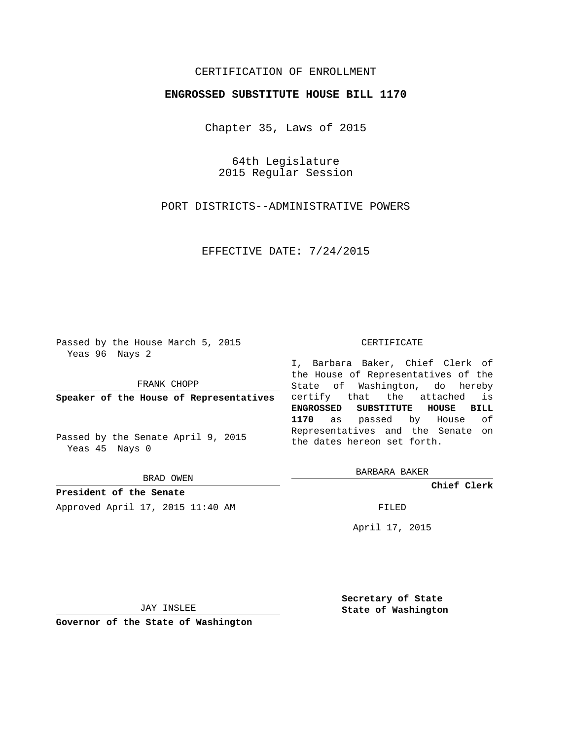# CERTIFICATION OF ENROLLMENT

## **ENGROSSED SUBSTITUTE HOUSE BILL 1170**

Chapter 35, Laws of 2015

64th Legislature 2015 Regular Session

PORT DISTRICTS--ADMINISTRATIVE POWERS

EFFECTIVE DATE: 7/24/2015

Passed by the House March 5, 2015 Yeas 96 Nays 2

FRANK CHOPP

**Speaker of the House of Representatives**

Passed by the Senate April 9, 2015 Yeas 45 Nays 0

BRAD OWEN

**President of the Senate** Approved April 17, 2015 11:40 AM FILED

#### CERTIFICATE

I, Barbara Baker, Chief Clerk of the House of Representatives of the State of Washington, do hereby certify that the attached is **ENGROSSED SUBSTITUTE HOUSE BILL 1170** as passed by House of Representatives and the Senate on the dates hereon set forth.

BARBARA BAKER

**Chief Clerk**

April 17, 2015

JAY INSLEE

**Governor of the State of Washington**

**Secretary of State State of Washington**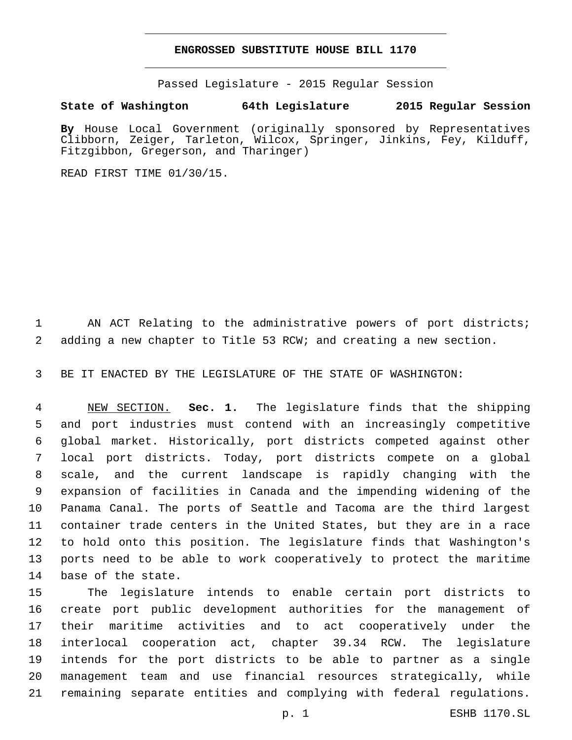### **ENGROSSED SUBSTITUTE HOUSE BILL 1170**

Passed Legislature - 2015 Regular Session

### **State of Washington 64th Legislature 2015 Regular Session**

**By** House Local Government (originally sponsored by Representatives Clibborn, Zeiger, Tarleton, Wilcox, Springer, Jinkins, Fey, Kilduff, Fitzgibbon, Gregerson, and Tharinger)

READ FIRST TIME 01/30/15.

1 AN ACT Relating to the administrative powers of port districts; adding a new chapter to Title 53 RCW; and creating a new section.

BE IT ENACTED BY THE LEGISLATURE OF THE STATE OF WASHINGTON:

 NEW SECTION. **Sec. 1.** The legislature finds that the shipping and port industries must contend with an increasingly competitive global market. Historically, port districts competed against other local port districts. Today, port districts compete on a global scale, and the current landscape is rapidly changing with the expansion of facilities in Canada and the impending widening of the Panama Canal. The ports of Seattle and Tacoma are the third largest container trade centers in the United States, but they are in a race to hold onto this position. The legislature finds that Washington's ports need to be able to work cooperatively to protect the maritime base of the state.

 The legislature intends to enable certain port districts to create port public development authorities for the management of their maritime activities and to act cooperatively under the interlocal cooperation act, chapter 39.34 RCW. The legislature intends for the port districts to be able to partner as a single management team and use financial resources strategically, while remaining separate entities and complying with federal regulations.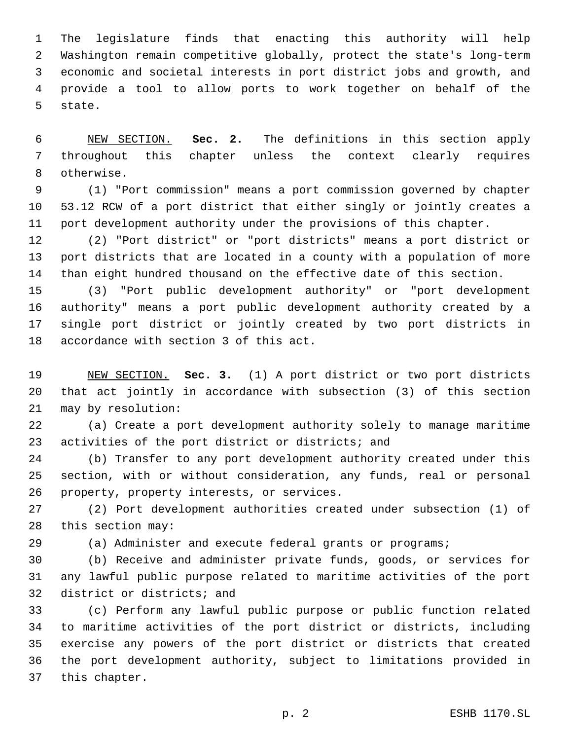The legislature finds that enacting this authority will help Washington remain competitive globally, protect the state's long-term economic and societal interests in port district jobs and growth, and provide a tool to allow ports to work together on behalf of the 5 state.

 NEW SECTION. **Sec. 2.** The definitions in this section apply throughout this chapter unless the context clearly requires otherwise.

 (1) "Port commission" means a port commission governed by chapter 53.12 RCW of a port district that either singly or jointly creates a port development authority under the provisions of this chapter.

 (2) "Port district" or "port districts" means a port district or port districts that are located in a county with a population of more than eight hundred thousand on the effective date of this section.

 (3) "Port public development authority" or "port development authority" means a port public development authority created by a single port district or jointly created by two port districts in 18 accordance with section 3 of this act.

 NEW SECTION. **Sec. 3.** (1) A port district or two port districts that act jointly in accordance with subsection (3) of this section may by resolution:

 (a) Create a port development authority solely to manage maritime 23 activities of the port district or districts; and

 (b) Transfer to any port development authority created under this section, with or without consideration, any funds, real or personal 26 property, property interests, or services.

 (2) Port development authorities created under subsection (1) of 28 this section may:

(a) Administer and execute federal grants or programs;

 (b) Receive and administer private funds, goods, or services for any lawful public purpose related to maritime activities of the port 32 district or districts; and

 (c) Perform any lawful public purpose or public function related to maritime activities of the port district or districts, including exercise any powers of the port district or districts that created the port development authority, subject to limitations provided in 37 this chapter.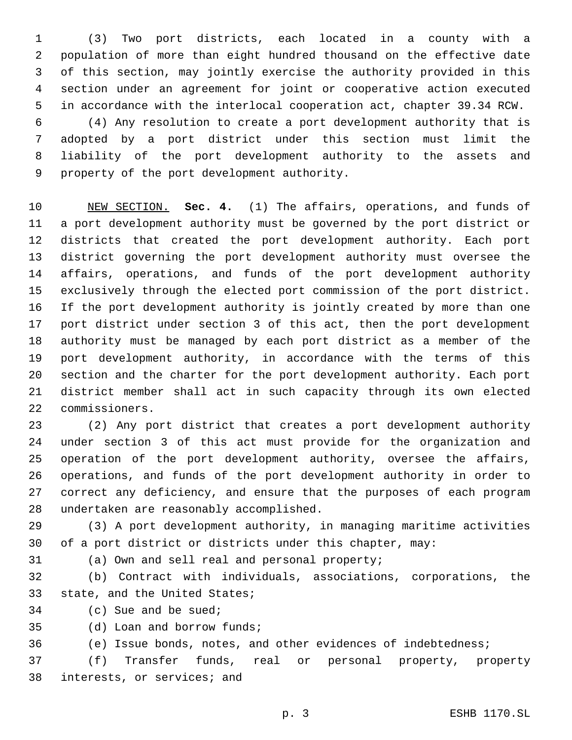(3) Two port districts, each located in a county with a population of more than eight hundred thousand on the effective date of this section, may jointly exercise the authority provided in this section under an agreement for joint or cooperative action executed in accordance with the interlocal cooperation act, chapter 39.34 RCW.

 (4) Any resolution to create a port development authority that is adopted by a port district under this section must limit the liability of the port development authority to the assets and 9 property of the port development authority.

 NEW SECTION. **Sec. 4.** (1) The affairs, operations, and funds of a port development authority must be governed by the port district or districts that created the port development authority. Each port district governing the port development authority must oversee the affairs, operations, and funds of the port development authority exclusively through the elected port commission of the port district. If the port development authority is jointly created by more than one port district under section 3 of this act, then the port development authority must be managed by each port district as a member of the port development authority, in accordance with the terms of this section and the charter for the port development authority. Each port district member shall act in such capacity through its own elected commissioners.

 (2) Any port district that creates a port development authority under section 3 of this act must provide for the organization and operation of the port development authority, oversee the affairs, operations, and funds of the port development authority in order to correct any deficiency, and ensure that the purposes of each program 28 undertaken are reasonably accomplished.

 (3) A port development authority, in managing maritime activities of a port district or districts under this chapter, may:

(a) Own and sell real and personal property;31

 (b) Contract with individuals, associations, corporations, the 33 state, and the United States;

34 (c) Sue and be sued;

35 (d) Loan and borrow funds;

(e) Issue bonds, notes, and other evidences of indebtedness;

 (f) Transfer funds, real or personal property, property 38 interests, or services; and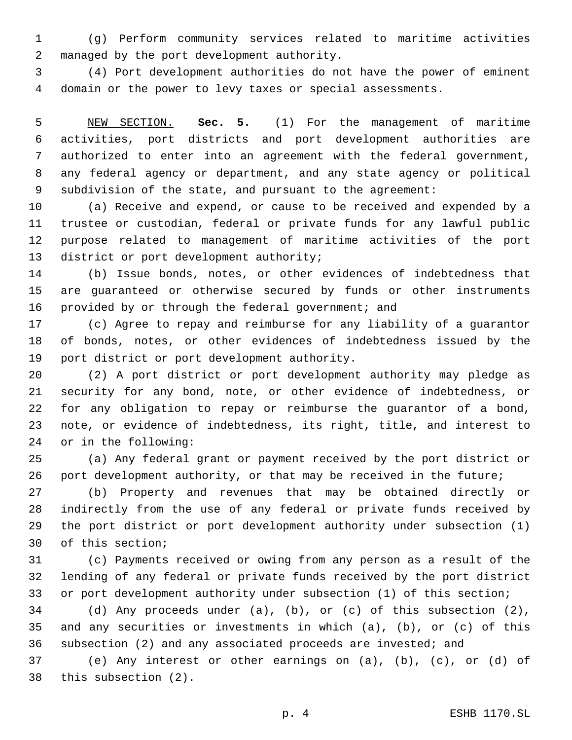(g) Perform community services related to maritime activities 2 managed by the port development authority.

 (4) Port development authorities do not have the power of eminent domain or the power to levy taxes or special assessments.

 NEW SECTION. **Sec. 5.** (1) For the management of maritime activities, port districts and port development authorities are authorized to enter into an agreement with the federal government, any federal agency or department, and any state agency or political subdivision of the state, and pursuant to the agreement:

 (a) Receive and expend, or cause to be received and expended by a trustee or custodian, federal or private funds for any lawful public purpose related to management of maritime activities of the port 13 district or port development authority;

 (b) Issue bonds, notes, or other evidences of indebtedness that are guaranteed or otherwise secured by funds or other instruments provided by or through the federal government; and

 (c) Agree to repay and reimburse for any liability of a guarantor of bonds, notes, or other evidences of indebtedness issued by the 19 port district or port development authority.

 (2) A port district or port development authority may pledge as security for any bond, note, or other evidence of indebtedness, or for any obligation to repay or reimburse the guarantor of a bond, note, or evidence of indebtedness, its right, title, and interest to 24 or in the following:

 (a) Any federal grant or payment received by the port district or port development authority, or that may be received in the future;

 (b) Property and revenues that may be obtained directly or indirectly from the use of any federal or private funds received by the port district or port development authority under subsection (1) 30 of this section;

 (c) Payments received or owing from any person as a result of the lending of any federal or private funds received by the port district or port development authority under subsection (1) of this section;

 (d) Any proceeds under (a), (b), or (c) of this subsection (2), and any securities or investments in which (a), (b), or (c) of this subsection (2) and any associated proceeds are invested; and

 (e) Any interest or other earnings on (a), (b), (c), or (d) of 38 this subsection (2).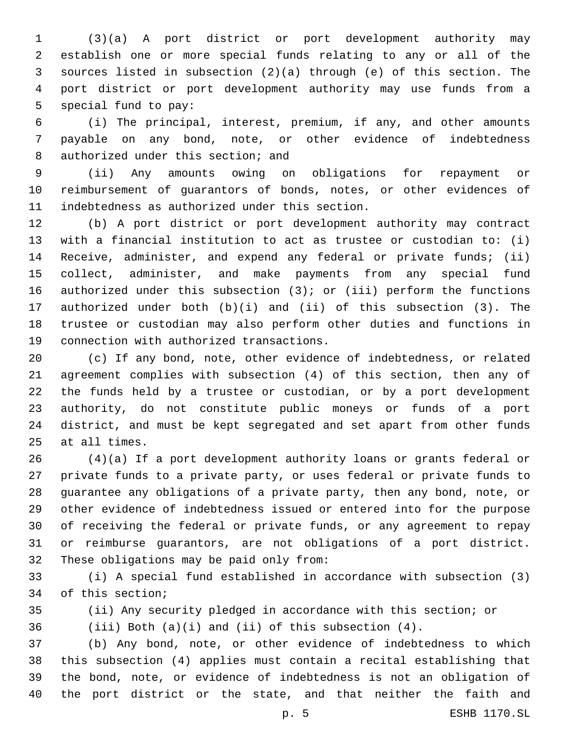(3)(a) A port district or port development authority may establish one or more special funds relating to any or all of the sources listed in subsection (2)(a) through (e) of this section. The port district or port development authority may use funds from a 5 special fund to pay:

 (i) The principal, interest, premium, if any, and other amounts payable on any bond, note, or other evidence of indebtedness 8 authorized under this section; and

 (ii) Any amounts owing on obligations for repayment or reimbursement of guarantors of bonds, notes, or other evidences of 11 indebtedness as authorized under this section.

 (b) A port district or port development authority may contract with a financial institution to act as trustee or custodian to: (i) Receive, administer, and expend any federal or private funds; (ii) collect, administer, and make payments from any special fund 16 authorized under this subsection  $(3)$ ; or  $(iii)$  perform the functions authorized under both (b)(i) and (ii) of this subsection (3). The trustee or custodian may also perform other duties and functions in 19 connection with authorized transactions.

 (c) If any bond, note, other evidence of indebtedness, or related agreement complies with subsection (4) of this section, then any of the funds held by a trustee or custodian, or by a port development authority, do not constitute public moneys or funds of a port district, and must be kept segregated and set apart from other funds 25 at all times.

 (4)(a) If a port development authority loans or grants federal or private funds to a private party, or uses federal or private funds to guarantee any obligations of a private party, then any bond, note, or other evidence of indebtedness issued or entered into for the purpose of receiving the federal or private funds, or any agreement to repay or reimburse guarantors, are not obligations of a port district. 32 These obligations may be paid only from:

 (i) A special fund established in accordance with subsection (3) 34 of this section;

(ii) Any security pledged in accordance with this section; or

(iii) Both (a)(i) and (ii) of this subsection (4).

 (b) Any bond, note, or other evidence of indebtedness to which this subsection (4) applies must contain a recital establishing that the bond, note, or evidence of indebtedness is not an obligation of the port district or the state, and that neither the faith and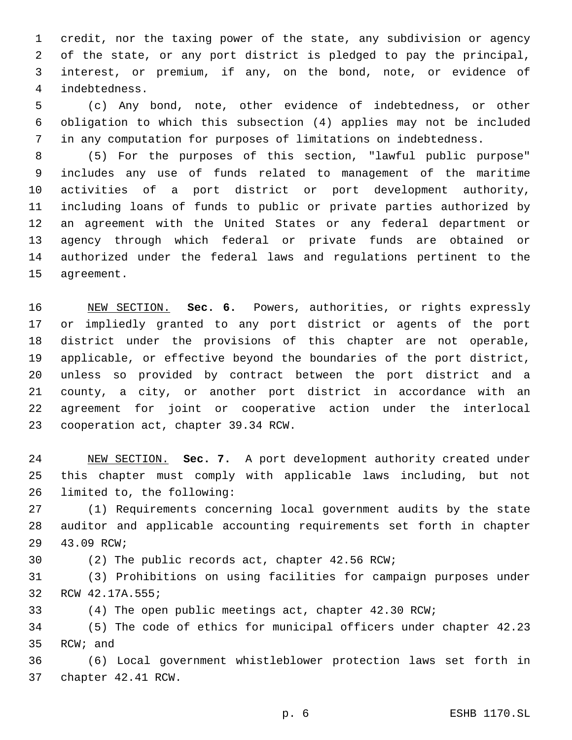credit, nor the taxing power of the state, any subdivision or agency of the state, or any port district is pledged to pay the principal, interest, or premium, if any, on the bond, note, or evidence of indebtedness.4

 (c) Any bond, note, other evidence of indebtedness, or other obligation to which this subsection (4) applies may not be included in any computation for purposes of limitations on indebtedness.

 (5) For the purposes of this section, "lawful public purpose" includes any use of funds related to management of the maritime activities of a port district or port development authority, including loans of funds to public or private parties authorized by an agreement with the United States or any federal department or agency through which federal or private funds are obtained or authorized under the federal laws and regulations pertinent to the 15 agreement.

 NEW SECTION. **Sec. 6.** Powers, authorities, or rights expressly or impliedly granted to any port district or agents of the port district under the provisions of this chapter are not operable, applicable, or effective beyond the boundaries of the port district, unless so provided by contract between the port district and a county, a city, or another port district in accordance with an agreement for joint or cooperative action under the interlocal cooperation act, chapter 39.34 RCW.

 NEW SECTION. **Sec. 7.** A port development authority created under this chapter must comply with applicable laws including, but not limited to, the following:

 (1) Requirements concerning local government audits by the state auditor and applicable accounting requirements set forth in chapter 29 43.09 RCW;

(2) The public records act, chapter 42.56 RCW;

 (3) Prohibitions on using facilities for campaign purposes under 32 RCW 42.17A.555;

(4) The open public meetings act, chapter 42.30 RCW;

 (5) The code of ethics for municipal officers under chapter 42.23 35 RCW; and

 (6) Local government whistleblower protection laws set forth in 37 chapter 42.41 RCW.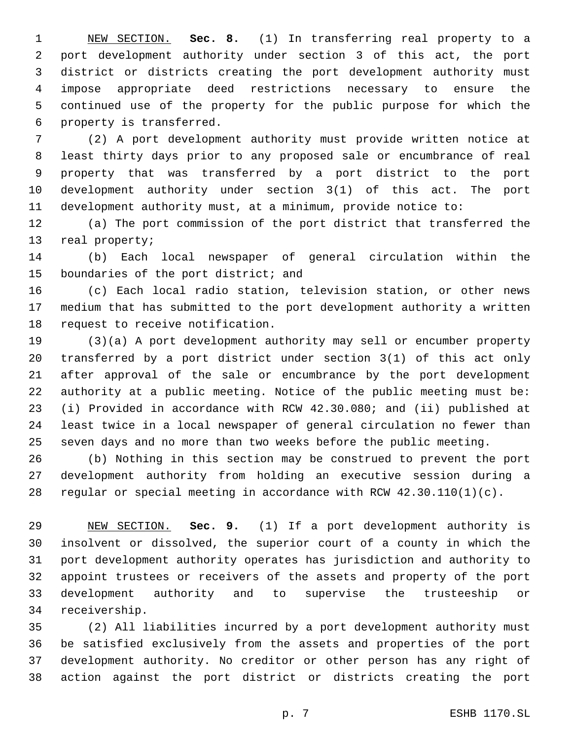NEW SECTION. **Sec. 8.** (1) In transferring real property to a port development authority under section 3 of this act, the port district or districts creating the port development authority must impose appropriate deed restrictions necessary to ensure the continued use of the property for the public purpose for which the property is transferred.

 (2) A port development authority must provide written notice at least thirty days prior to any proposed sale or encumbrance of real property that was transferred by a port district to the port development authority under section 3(1) of this act. The port development authority must, at a minimum, provide notice to:

 (a) The port commission of the port district that transferred the 13 real property;

 (b) Each local newspaper of general circulation within the 15 boundaries of the port district; and

 (c) Each local radio station, television station, or other news medium that has submitted to the port development authority a written 18 request to receive notification.

 (3)(a) A port development authority may sell or encumber property transferred by a port district under section 3(1) of this act only after approval of the sale or encumbrance by the port development authority at a public meeting. Notice of the public meeting must be: (i) Provided in accordance with RCW 42.30.080; and (ii) published at least twice in a local newspaper of general circulation no fewer than seven days and no more than two weeks before the public meeting.

 (b) Nothing in this section may be construed to prevent the port development authority from holding an executive session during a regular or special meeting in accordance with RCW 42.30.110(1)(c).

 NEW SECTION. **Sec. 9.** (1) If a port development authority is insolvent or dissolved, the superior court of a county in which the port development authority operates has jurisdiction and authority to appoint trustees or receivers of the assets and property of the port development authority and to supervise the trusteeship or receivership.

 (2) All liabilities incurred by a port development authority must be satisfied exclusively from the assets and properties of the port development authority. No creditor or other person has any right of action against the port district or districts creating the port